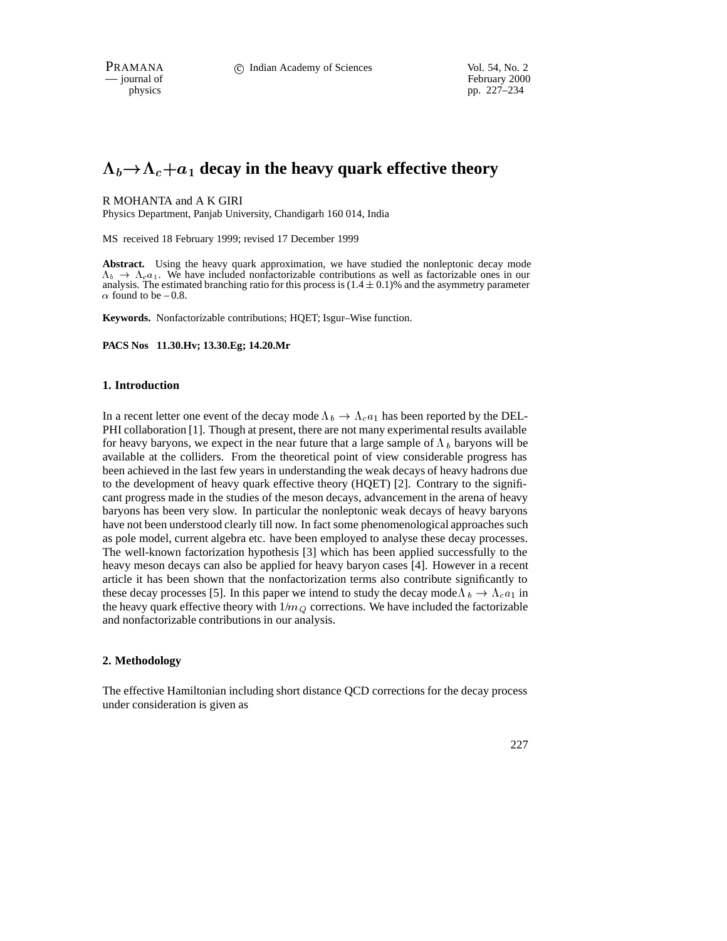February 2000 physics pp. 227–234

# $\Lambda_b \rightarrow \Lambda_c + a_1$  decay in the heavy quark effective theory

# R MOHANTA and A K GIRI

Physics Department, Panjab University, Chandigarh 160 014, India

MS received 18 February 1999; revised 17 December 1999

**Abstract.** Using the heavy quark approximation, we have studied the nonleptonic decay mode  $\Lambda_b \to \Lambda_c a_1$ . We have included nonfactorizable contributions as well as factorizable ones in our analysis. The estimated branching ratio for this process is  $(1.4 \pm 0.1)\%$  and the asymmetry parameter  $\alpha$  found to be – 0.8.

**Keywords.** Nonfactorizable contributions; HQET; Isgur–Wise function.

**PACS Nos 11.30.Hv; 13.30.Eg; 14.20.Mr**

# **1. Introduction**

In a recent letter one event of the decay mode  $\Lambda_b \to \Lambda_c a_1$  has been reported by the DEL-PHI collaboration [1]. Though at present, there are not many experimental results available for heavy baryons, we expect in the near future that a large sample of  $\Lambda_b$  baryons will be available at the colliders. From the theoretical point of view considerable progress has been achieved in the last few years in understanding the weak decays of heavy hadrons due to the development of heavy quark effective theory (HQET) [2]. Contrary to the significant progress made in the studies of the meson decays, advancement in the arena of heavy baryons has been very slow. In particular the nonleptonic weak decays of heavy baryons have not been understood clearly till now. In fact some phenomenological approaches such as pole model, current algebra etc. have been employed to analyse these decay processes. The well-known factorization hypothesis [3] which has been applied successfully to the heavy meson decays can also be applied for heavy baryon cases [4]. However in a recent article it has been shown that the nonfactorization terms also contribute significantly to these decay processes [5]. In this paper we intend to study the decay mode  $\Lambda_b \to \Lambda_c a_1$  in the heavy quark effective theory with  $1/m_Q$  corrections. We have included the factorizable and nonfactorizable contributions in our analysis.

# **2. Methodology**

The effective Hamiltonian including short distance QCD corrections for the decay process under consideration is given as

227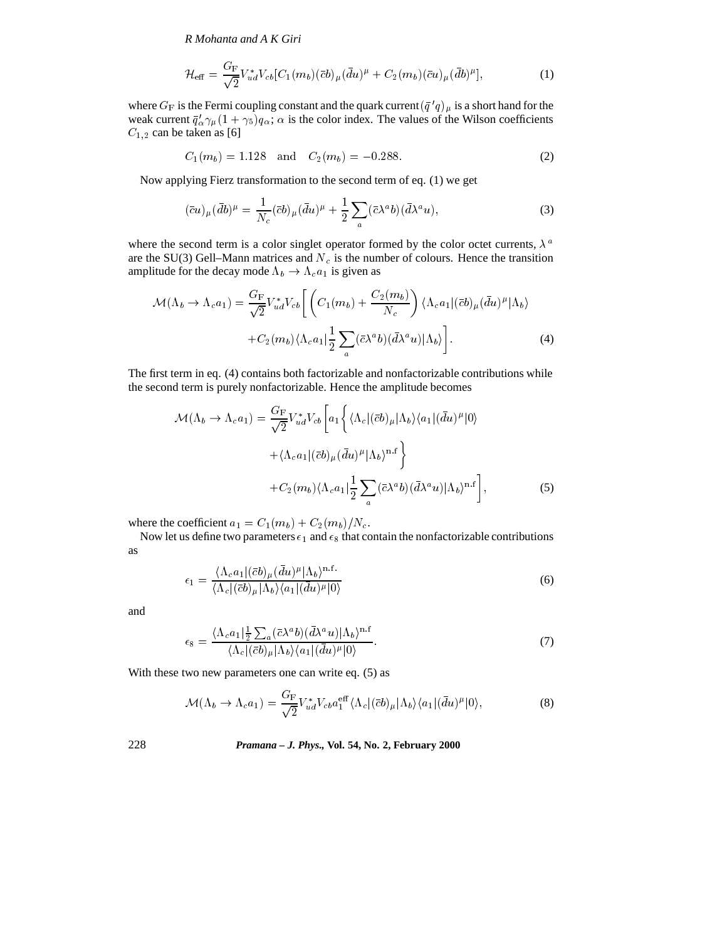*R Mohanta and A K Giri*

$$
\mathcal{H}_{\text{eff}} = \frac{G_{\text{F}}}{\sqrt{2}} V_{ud}^* V_{cb} [C_1(m_b)(\bar{c}b)_{\mu} (\bar{d}u)^{\mu} + C_2(m_b)(\bar{c}u)_{\mu} (\bar{d}b)^{\mu}], \tag{1}
$$

where  $G_F$  is the Fermi coupling constant and the quark current  $(\bar{q}'q)_{\mu}$  is a short hand for the weak current  $\bar{q}'_{\alpha}\gamma_{\mu}(1 + \gamma_5)q_{\alpha}$ ;  $\alpha$  is the color index. The values of the Wilson coefficients  $C_{1,2}$  can be taken as [6]

$$
C_1(m_b) = 1.128 \quad \text{and} \quad C_2(m_b) = -0.288. \tag{2}
$$

Now applying Fierz transformation to the second term of eq. (1) we get

$$
(\bar{c}u)_{\mu}(\bar{d}b)^{\mu} = \frac{1}{N_c}(\bar{c}b)_{\mu}(\bar{d}u)^{\mu} + \frac{1}{2}\sum_{a}(\bar{c}\lambda^{a}b)(\bar{d}\lambda^{a}u), \tag{3}
$$

where the second term is a color singlet operator formed by the color octet currents,  $\lambda^a$ are the SU(3) Gell–Mann matrices and  $N_c$  is the number of colours. Hence the transition amplitude for the decay mode  $\Lambda_b \to \Lambda_c a_1$  is given as

$$
\mathcal{M}(\Lambda_b \to \Lambda_c a_1) = \frac{G_F}{\sqrt{2}} V_{ud}^* V_{cb} \left[ \left( C_1(m_b) + \frac{C_2(m_b)}{N_c} \right) \langle \Lambda_c a_1 | (\bar{c}b)_{\mu} (\bar{d}u)^{\mu} | \Lambda_b \rangle \right. \\ + C_2(m_b) \langle \Lambda_c a_1 | \frac{1}{2} \sum_a (\bar{c} \lambda^a b) (\bar{d} \lambda^a u) | \Lambda_b \rangle \right]. \tag{4}
$$

The first term in eq. (4) contains both factorizable and nonfactorizable contributions while the second term is purely nonfactorizable. Hence the amplitude becomes

$$
\mathcal{M}(\Lambda_b \to \Lambda_c a_1) = \frac{G_F}{\sqrt{2}} V_{ud}^* V_{cb} \left[ a_1 \left\{ \langle \Lambda_c | (\bar{c}b)_{\mu} | \Lambda_b \rangle \langle a_1 | (\bar{d}u)^{\mu} | 0 \rangle \right. \right.\left. + \langle \Lambda_c a_1 | (\bar{c}b)_{\mu} (\bar{d}u)^{\mu} | \Lambda_b \rangle^{n.f} \right\} \left. + C_2(m_b) \langle \Lambda_c a_1 | \frac{1}{2} \sum_a (\bar{c} \lambda^a b) (\bar{d} \lambda^a u) | \Lambda_b \rangle^{n.f} \right],
$$
\n(5)

where the coefficient  $a_1 = C_1(m_b) + C_2(m_b)/N_c$ .

Now let us define two parameters  $\epsilon_1$  and  $\epsilon_8$  that contain the nonfactorizable contributions as

$$
\epsilon_1 = \frac{\langle \Lambda_c a_1 | (\bar{c}b)_{\mu} (\bar{d}u)^{\mu} | \Lambda_b \rangle^{\text{n.f.}}}{\langle \Lambda_c | (\bar{c}b)_{\mu} | \Lambda_b \rangle \langle a_1 | (\bar{d}u)^{\mu} | 0 \rangle} \tag{6}
$$

and

$$
\epsilon_8 = \frac{\langle \Lambda_c a_1 | \frac{1}{2} \sum_a (\bar{c} \lambda^a b)(\bar{d} \lambda^a u) | \Lambda_b \rangle^{n.f}}{\langle \Lambda_c | (\bar{c} b)_\mu | \Lambda_b \rangle \langle a_1 | (\bar{d} u)^\mu | 0 \rangle}.
$$
\n
$$
(7)
$$

With these two new parameters one can write eq. (5) as

$$
\mathcal{M}(\Lambda_b \to \Lambda_c a_1) = \frac{G_F}{\sqrt{2}} V_{ud}^* V_{cb} a_1^{\text{eff}} \langle \Lambda_c | (\bar{c}b)_{\mu} | \Lambda_b \rangle \langle a_1 | (\bar{d}u)^{\mu} | 0 \rangle, \tag{8}
$$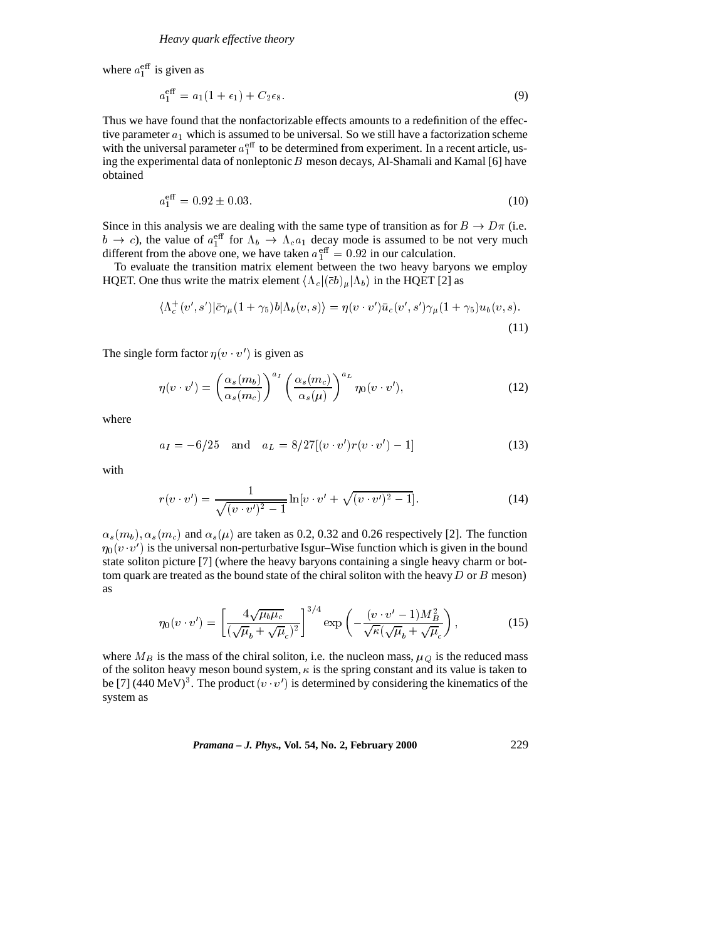where  $a_1^{\text{eff}}$  is given as

$$
a_1^{\text{eff}} = a_1(1 + \epsilon_1) + C_2 \epsilon_8. \tag{9}
$$

Thus we have found that the nonfactorizable effects amounts to a redefinition of the effective parameter  $a_1$  which is assumed to be universal. So we still have a factorization scheme with the universal parameter  $a_1^{\text{eff}}$  to be determined from experiment. In a recent article, using the experimental data of nonleptonic  $B$  meson decays, Al-Shamali and Kamal [6] have obtained

$$
a_1^{\text{eff}} = 0.92 \pm 0.03. \tag{10}
$$

Since in this analysis we are dealing with the same type of transition as for  $B \to D\pi$  (i.e.  $b \to c$ ), the value of  $a_1^{\text{eff}}$  for  $\Lambda_b \to \Lambda_c a_1$  decay mode is assumed to be not very much different from the above one, we have taken  $a_{\perp}^{\text{eff}} = 0.92$  in our calculation.

To evaluate the transition matrix element between the two heavy baryons we employ HQET. One thus write the matrix element  $\langle \Lambda_c | (\bar{c}b)_{\mu} | \Lambda_b \rangle$  in the HQET [2] as

$$
\langle \Lambda_c^+(v',s')|\bar{c}\gamma_\mu(1+\gamma_5)b|\Lambda_b(v,s)\rangle = \eta(v\cdot v')\bar{u}_c(v',s')\gamma_\mu(1+\gamma_5)u_b(v,s).
$$
\n(11)

The single form factor  $\eta(v \cdot v')$  is given as

$$
\eta(v \cdot v') = \left(\frac{\alpha_s(m_b)}{\alpha_s(m_c)}\right)^{a_I} \left(\frac{\alpha_s(m_c)}{\alpha_s(\mu)}\right)^{a_L} \eta_0(v \cdot v'),\tag{12}
$$

where

$$
a_I = -6/25 \quad \text{and} \quad a_L = 8/27[(v \cdot v')r(v \cdot v') - 1] \tag{13}
$$

with

$$
r(v \cdot v') = \frac{1}{\sqrt{(v \cdot v')^2 - 1}} \ln[v \cdot v' + \sqrt{(v \cdot v')^2 - 1}].
$$
 (14)

 $\alpha_s(m_b), \alpha_s(m_c)$  and  $\alpha_s(\mu)$  are taken as 0.2, 0.32 and 0.26 respectively [2]. The function  $\eta_0(v \cdot v')$  is the universal non-perturbative Isgur–Wise function which is given in the bound state soliton picture [7] (where the heavy baryons containing a single heavy charm or bottom quark are treated as the bound state of the chiral soliton with the heavy  $D$  or  $B$  meson) as

$$
\eta_0(v \cdot v') = \left[ \frac{4\sqrt{\mu_b \mu_c}}{(\sqrt{\mu_b} + \sqrt{\mu_c})^2} \right]^{3/4} \exp\left( -\frac{(v \cdot v' - 1)M_B^2}{\sqrt{\kappa}(\sqrt{\mu_b} + \sqrt{\mu_c})} \right),\tag{15}
$$

where  $M_B$  is the mass of the chiral soliton, i.e. the nucleon mass,  $\mu_Q$  is the reduced mass of the soliton heavy meson bound system,  $\kappa$  is the spring constant and its value is taken to be [7] (440 MeV)<sup>3</sup>. The product  $(v \cdot v')$  is determined by considering the kinematics of the system as

*Pramana – J. Phys.,* **Vol. 54, No. 2, February 2000** 229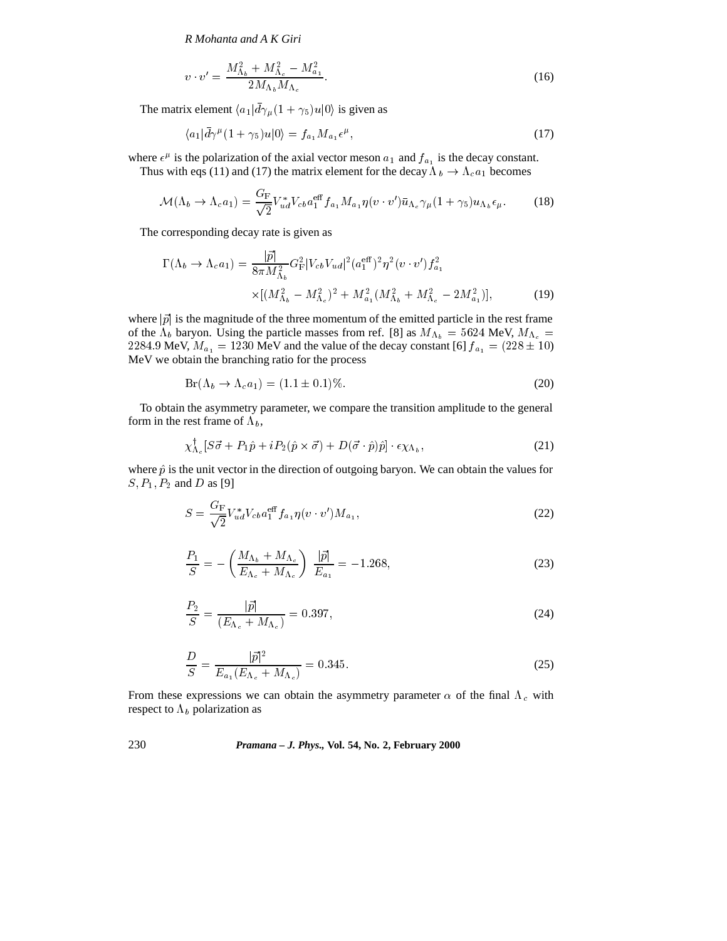*R Mohanta and A K Giri*

$$
v \cdot v' = \frac{M_{\Lambda_b}^2 + M_{\Lambda_c}^2 - M_{a_1}^2}{2M_{\Lambda_b}M_{\Lambda_c}}.\tag{16}
$$

The matrix element  $\langle a_1 | \bar{d} \gamma_\mu (1 + \gamma_5) u | 0 \rangle$  is given as

$$
\langle a_1 | \bar{d}\gamma^{\mu} (1 + \gamma_5) u | 0 \rangle = f_{a_1} M_{a_1} \epsilon^{\mu}, \qquad (17)
$$

where  $\epsilon^{\mu}$  is the polarization of the axial vector meson  $a_1$  and  $f_{a_1}$  is the decay constant.

Thus with eqs (11) and (17) the matrix element for the decay  $\Lambda_b \to \Lambda_c a_1$  becomes

$$
\mathcal{M}(\Lambda_b \to \Lambda_c a_1) = \frac{G_F}{\sqrt{2}} V_{ud}^* V_{cb} a_1^{eff} f_{a_1} M_{a_1} \eta(v \cdot v') \bar{u}_{\Lambda_c} \gamma_\mu (1 + \gamma_5) u_{\Lambda_b} \epsilon_\mu.
$$
 (18)

The corresponding decay rate is given as

$$
\Gamma(\Lambda_b \to \Lambda_c a_1) = \frac{|\vec{p}|}{8\pi M_{\Lambda_b}^2} G_{\rm F}^2 |V_{cb} V_{ud}|^2 (a_1^{\rm eff})^2 \eta^2 (v \cdot v') f_{a_1}^2
$$
  
 
$$
\times [(M_{\Lambda_b}^2 - M_{\Lambda_c}^2)^2 + M_{a_1}^2 (M_{\Lambda_b}^2 + M_{\Lambda_c}^2 - 2M_{a_1}^2)], \tag{19}
$$

where  $|\vec{p}|$  is the magnitude of the three momentum of the emitted particle in the rest frame of the  $\Lambda_b$  baryon. Using the particle masses from ref. [8] as  $M_{\Lambda_b} = 5624$  MeV,  $M_{\Lambda_c} =$ 2284.9 MeV,  $M_{a_1} = 1230$  MeV and the value of the decay constant [6]  $f_{a_1} = (228 \pm 10)$ MeV we obtain the branching ratio for the process

$$
Br(\Lambda_b \to \Lambda_c a_1) = (1.1 \pm 0.1)\%.
$$
\n(20)

To obtain the asymmetry parameter, we compare the transition amplitude to the general form in the rest frame of  $\Lambda_b$ ,

$$
\chi^{\dagger}_{\Lambda_c}[S\vec{\sigma} + P_1\hat{p} + iP_2(\hat{p} \times \vec{\sigma}) + D(\vec{\sigma} \cdot \hat{p})\hat{p}] \cdot \epsilon \chi_{\Lambda_b},\tag{21}
$$

where  $\hat{p}$  is the unit vector in the direction of outgoing baryon. We can obtain the values for  $S, P_1, P_2$  and D as [9]

$$
S = \frac{G_F}{\sqrt{2}} V_{ud}^* V_{cb} a_1^{eff} f_{a_1} \eta(v \cdot v') M_{a_1}, \qquad (22)
$$

$$
\frac{P_1}{S} = -\left(\frac{M_{\Lambda_b} + M_{\Lambda_c}}{E_{\Lambda_c} + M_{\Lambda_c}}\right) \frac{|\vec{p}|}{E_{a_1}} = -1.268,
$$
\n(23)

$$
\frac{P_2}{S} = \frac{|\vec{p}|}{(E_{\Lambda_c} + M_{\Lambda_c})} = 0.397,
$$
\n(24)

$$
\frac{D}{S} = \frac{|\vec{p}|^2}{E_{a_1}(E_{\Lambda_c} + M_{\Lambda_c})} = 0.345.
$$
\n(25)

From these expressions we can obtain the asymmetry parameter  $\alpha$  of the final  $\Lambda_c$  with respect to  $\Lambda_b$  polarization as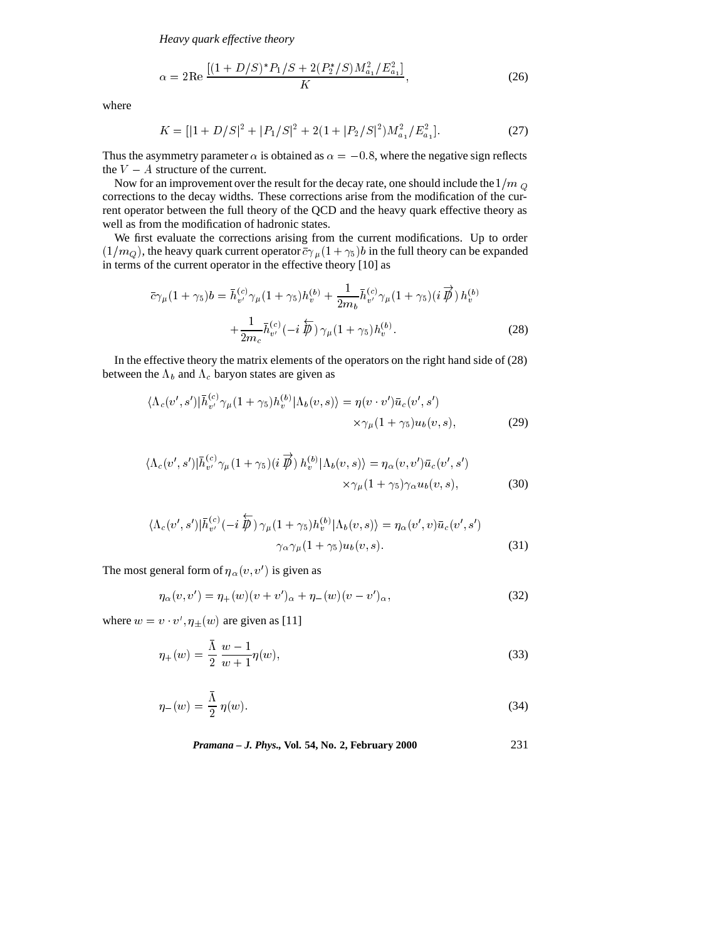*Heavy quark effective theory*

$$
\alpha = 2\text{Re}\,\frac{[(1+D/S)^*P_1/S + 2(P_2^*/S)M_{a_1}^2/E_{a_1}^2]}{K},\tag{26}
$$

where

$$
K = [|1 + D/S|^2 + |P_1/S|^2 + 2(1 + |P_2/S|^2)M_{a_1}^2/E_{a_1}^2].
$$
 (27)

Thus the asymmetry parameter  $\alpha$  is obtained as  $\alpha = -0.8$ , where the negative sign reflects the  $V - A$  structure of the current.

Now for an improvement over the result for the decay rate, one should include the  $1/m_Q$ corrections to the decay widths. These corrections arise from the modification of the current operator between the full theory of the QCD and the heavy quark effective theory as well as from the modification of hadronic states.

We first evaluate the corrections arising from the current modifications. Up to order  $(1/m_Q)$ , the heavy quark current operator  $\bar{c}\gamma_\mu (1 + \gamma_5)b$  in the full theory can be expanded in terms of the current operator in the effective theory [10] as

$$
\bar{c}\gamma_{\mu}(1+\gamma_{5})b = \bar{h}_{v'}^{(c)}\gamma_{\mu}(1+\gamma_{5})h_{v}^{(b)} + \frac{1}{2m_{b}}\bar{h}_{v'}^{(c)}\gamma_{\mu}(1+\gamma_{5})(i\vec{p})h_{v}^{(b)} + \frac{1}{2m_{c}}\bar{h}_{v'}^{(c)}(-i\vec{p})\gamma_{\mu}(1+\gamma_{5})h_{v}^{(b)}.
$$
\n(28)

In the effective theory the matrix elements of the operators on the right hand side of (28) between the  $\Lambda_b$  and  $\Lambda_c$  baryon states are given as

$$
\langle \Lambda_c(v',s') | \bar{h}_{v'}^{(c)} \gamma_\mu (1+\gamma_5) h_v^{(b)} | \Lambda_b(v,s) \rangle = \eta(v \cdot v') \bar{u}_c(v',s')
$$
  
 
$$
\times \gamma_\mu (1+\gamma_5) u_b(v,s), \tag{29}
$$

$$
\langle \Lambda_c(v',s') | \bar{h}_{v'}^{(c)} \gamma_\mu (1+\gamma_5) (i \overrightarrow{\beta}) h_v^{(b)} | \Lambda_b(v,s) \rangle = \eta_\alpha(v,v') \bar{u}_c(v',s')
$$
  
 
$$
\times \gamma_\mu (1+\gamma_5) \gamma_\alpha u_b(v,s), \tag{30}
$$

$$
\langle \Lambda_c(v',s') | \bar{h}_{v'}^{(c)}(-i\,\overline{\hat{\psi}}) \, \gamma_\mu(1+\gamma_5) h_v^{(b)} | \Lambda_b(v,s) \rangle = \eta_\alpha(v',v) \bar{u}_c(v',s')
$$
  

$$
\gamma_\alpha \gamma_\mu(1+\gamma_5) u_b(v,s).
$$
 (31)

The most general form of  $\eta_{\alpha}(v, v')$  is given as

$$
\eta_{\alpha}(v, v') = \eta_{+}(w)(v + v')_{\alpha} + \eta_{-}(w)(v - v')_{\alpha}, \tag{32}
$$

where  $w = v \cdot v'$ ,  $\eta_{\pm}(w)$  are given as [11]

$$
\eta_{+}(w) = \frac{\bar{\Lambda}}{2} \frac{w - 1}{w + 1} \eta(w),\tag{33}
$$

$$
\eta_{-}(w) = \frac{\bar{\Lambda}}{2} \eta(w). \tag{34}
$$

*Pramana – J. Phys.,* **Vol. 54, No. 2, February 2000** 231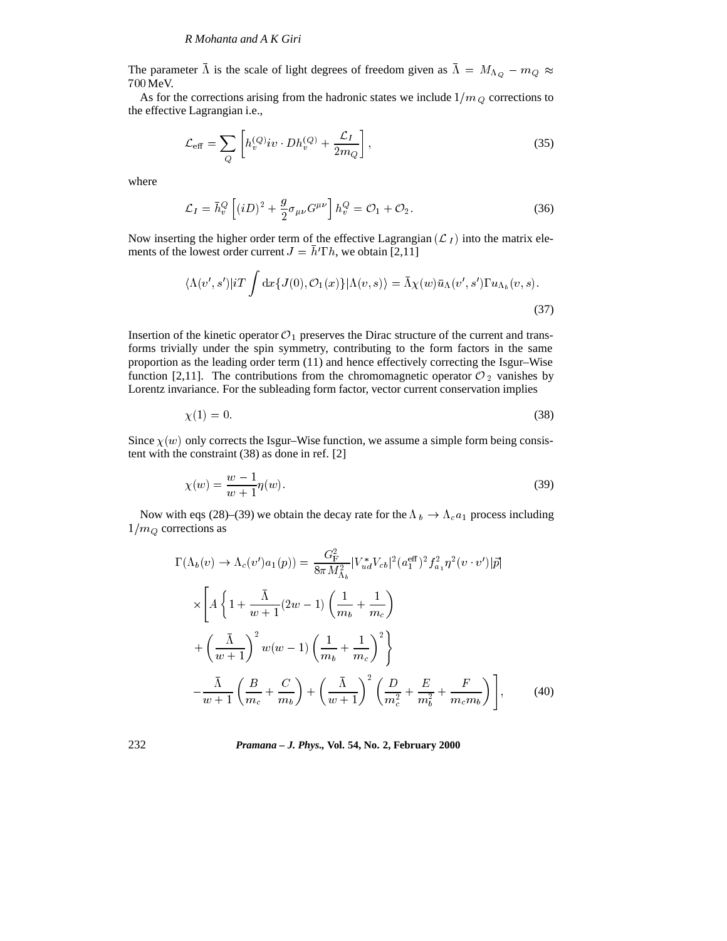The parameter  $\Lambda$  is the scale of light degrees of freedom given as  $\Lambda = M_{\Lambda_Q} - m_Q \approx$ <sup>700</sup> MeV.

As for the corrections arising from the hadronic states we include  $1/m_Q$  corrections to the effective Lagrangian i.e.,

$$
\mathcal{L}_{\text{eff}} = \sum_{Q} \left[ h_v^{(Q)} i v \cdot Dh_v^{(Q)} + \frac{\mathcal{L}_I}{2m_Q} \right],\tag{35}
$$

where

$$
\mathcal{L}_I = \bar{h}_v^Q \left[ (iD)^2 + \frac{g}{2} \sigma_{\mu\nu} G^{\mu\nu} \right] h_v^Q = \mathcal{O}_1 + \mathcal{O}_2. \tag{36}
$$

Now inserting the higher order term of the effective Lagrangian  $(\mathcal{L}_I)$  into the matrix elements of the lowest order current  $J = \bar{h} \text{Tr} h$ , we obtain [2,11]

$$
\langle \Lambda(v',s')|iT \int dx \{J(0), \mathcal{O}_1(x)\} |\Lambda(v,s)\rangle = \bar{\Lambda}\chi(w)\bar{u}_\Lambda(v',s')\Gamma u_{\Lambda_b}(v,s).
$$
\n(37)

Insertion of the kinetic operator  $\mathcal{O}_1$  preserves the Dirac structure of the current and transforms trivially under the spin symmetry, contributing to the form factors in the same proportion as the leading order term (11) and hence effectively correcting the Isgur–Wise function [2,11]. The contributions from the chromomagnetic operator  $\mathcal{O}_2$  vanishes by Lorentz invariance. For the subleading form factor, vector current conservation implies

$$
\chi(1) = 0.\tag{38}
$$

Since  $\chi(w)$  only corrects the Isgur–Wise function, we assume a simple form being consistent with the constraint (38) as done in ref. [2]

$$
\chi(w) = \frac{w - 1}{w + 1} \eta(w).
$$
\n(39)

Now with eqs (28)–(39) we obtain the decay rate for the  $\Lambda_b \to \Lambda_c a_1$  process including  $1/m_Q$  corrections as

$$
\Gamma(\Lambda_b(v) \to \Lambda_c(v')a_1(p)) = \frac{G_{\rm F}^2}{8\pi M_{\Lambda_b}^2} |V_{ud}^*V_{cb}|^2 (a_1^{\text{eff}})^2 f_{a_1}^2 \eta^2 (v \cdot v')|\vec{p}|
$$
  
\n
$$
\times \left[ A \left\{ 1 + \frac{\bar{\Lambda}}{w+1} (2w-1) \left( \frac{1}{m_b} + \frac{1}{m_c} \right) \right.\right.
$$
  
\n
$$
+ \left( \frac{\bar{\Lambda}}{w+1} \right)^2 w(w-1) \left( \frac{1}{m_b} + \frac{1}{m_c} \right)^2 \right\}
$$
  
\n
$$
- \frac{\bar{\Lambda}}{w+1} \left( \frac{B}{m_c} + \frac{C}{m_b} \right) + \left( \frac{\bar{\Lambda}}{w+1} \right)^2 \left( \frac{D}{m_c^2} + \frac{E}{m_b^2} + \frac{F}{m_c m_b} \right) \right],
$$
 (40)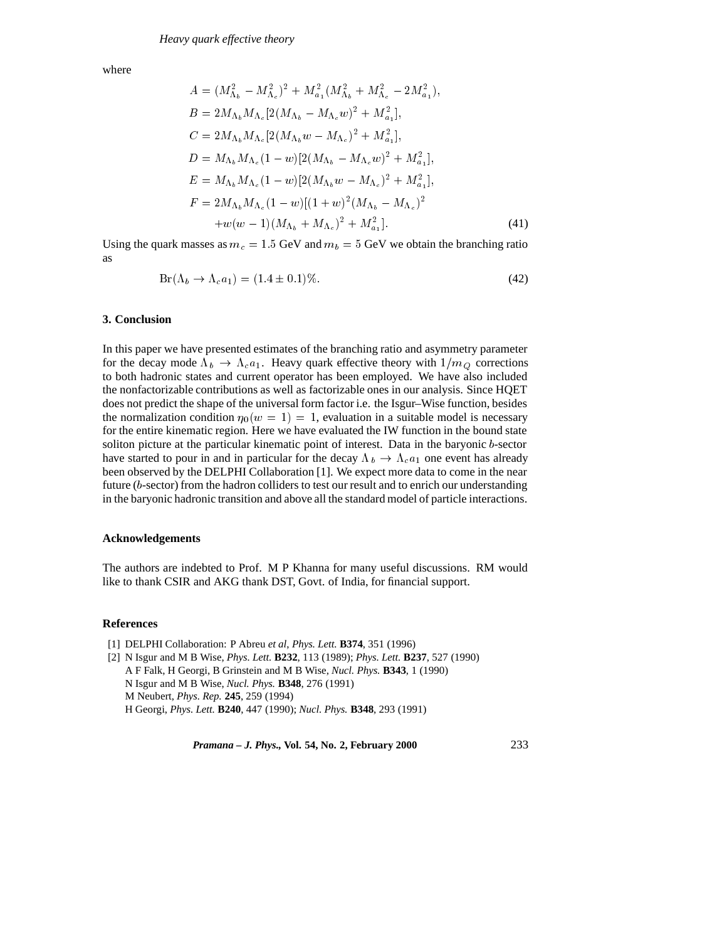where

$$
A = (M_{\Lambda_b}^2 - M_{\Lambda_c}^2)^2 + M_{a_1}^2 (M_{\Lambda_b}^2 + M_{\Lambda_c}^2 - 2M_{a_1}^2),
$$
  
\n
$$
B = 2M_{\Lambda_b} M_{\Lambda_c} [2(M_{\Lambda_b} - M_{\Lambda_c}w)^2 + M_{a_1}^2],
$$
  
\n
$$
C = 2M_{\Lambda_b} M_{\Lambda_c} [2(M_{\Lambda_b}w - M_{\Lambda_c})^2 + M_{a_1}^2],
$$
  
\n
$$
D = M_{\Lambda_b} M_{\Lambda_c} (1 - w) [2(M_{\Lambda_b} - M_{\Lambda_c}w)^2 + M_{a_1}^2],
$$
  
\n
$$
E = M_{\Lambda_b} M_{\Lambda_c} (1 - w) [2(M_{\Lambda_b}w - M_{\Lambda_c})^2 + M_{a_1}^2],
$$
  
\n
$$
F = 2M_{\Lambda_b} M_{\Lambda_c} (1 - w) [(1 + w)^2 (M_{\Lambda_b} - M_{\Lambda_c})^2 + M_{a_1}^2].
$$
  
\n
$$
+ w(w - 1)(M_{\Lambda_b} + M_{\Lambda_c})^2 + M_{a_1}^2].
$$
\n(41)

Using the quark masses as  $m_c = 1.5$  GeV and  $m_b = 5$  GeV we obtain the branching ratio as

$$
Br(\Lambda_b \to \Lambda_c a_1) = (1.4 \pm 0.1)\%.
$$
\n
$$
(42)
$$

# **3. Conclusion**

In this paper we have presented estimates of the branching ratio and asymmetry parameter for the decay mode  $\Lambda_b \to \Lambda_c a_1$ . Heavy quark effective theory with  $1/m_Q$  corrections to both hadronic states and current operator has been employed. We have also included the nonfactorizable contributions as well as factorizable ones in our analysis. Since HQET does not predict the shape of the universal form factor i.e. the Isgur–Wise function, besides the normalization condition  $\eta_0(w = 1) = 1$ , evaluation in a suitable model is necessary for the entire kinematic region. Here we have evaluated the IW function in the bound state soliton picture at the particular kinematic point of interest. Data in the baryonic b-sector have started to pour in and in particular for the decay  $\Lambda_b \to \Lambda_c a_1$  one event has already been observed by the DELPHI Collaboration [1]. We expect more data to come in the near future (b-sector) from the hadron colliders to test our result and to enrich our understanding in the baryonic hadronic transition and above all the standard model of particle interactions.

### **Acknowledgements**

The authors are indebted to Prof. M P Khanna for many useful discussions. RM would like to thank CSIR and AKG thank DST, Govt. of India, for financial support.

### **References**

[1] DELPHI Collaboration: P Abreu *et al*, *Phys. Lett.* **B374**, 351 (1996)

[2] N Isgur and M B Wise, *Phys. Lett.* **B232**, 113 (1989); *Phys. Lett.* **B237**, 527 (1990) A F Falk, H Georgi, B Grinstein and M B Wise, *Nucl. Phys.* **B343**, 1 (1990) N Isgur and M B Wise, *Nucl. Phys.* **B348**, 276 (1991) M Neubert, *Phys. Rep.* **245**, 259 (1994) H Georgi, *Phys. Lett.* **B240**, 447 (1990); *Nucl. Phys.* **B348**, 293 (1991)